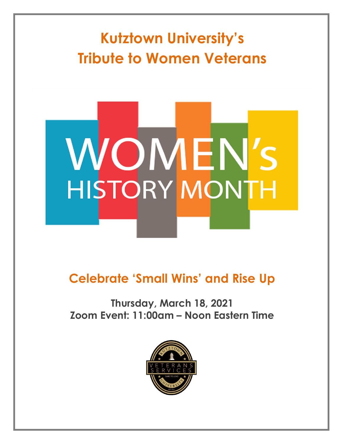# **Kutztown University's Tribute to Women Veterans**

# **WOMEN'S HISTORY MONTH**

# **Celebrate 'Small Wins' and Rise Up**

## **Thursday, March 18, 2021 Zoom Event: 11:00am – Noon Eastern Time**

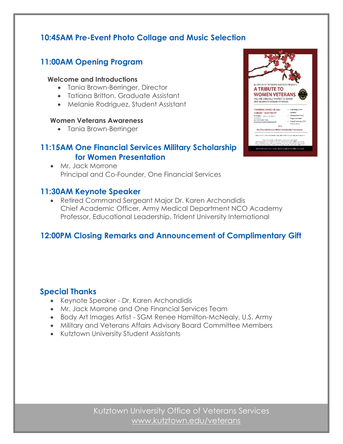#### **10:45AM Pre-Event Photo Collage and Music Selection**

### **11:00AM Opening Program**

#### **Welcome and Introductions**

- Tania Brown-Berringer, Director
- Tatiana Britton, Graduate Assistant
- Melanie Rodriguez, Student Assistant

#### **Women Veterans Awareness**

• Tania Brown-Berringer

#### **11:15AM One Financial Services Military Scholarship for Women Presentation**

• Mr. Jack Morrone Principal and Co-Founder, One Financial Services

#### **11:30AM Keynote Speaker**

• Retired Command Sergeant Major Dr. Karen Archondidis Chief Academic Officer, Army Medical Department NCO Academy Professor, Educational Leadership, Trident University International

#### **12:00PM Closing Remarks and Announcement of Complimentary Gift**

#### **Special Thanks**

- Keynote Speaker Dr. Karen Archondidis
- Mr. Jack Morrone and One Financial Services Team
- Body Art Images Artist SGM Renee Hamilton-McNealy, U.S. Army
- Military and Veterans Affairs Advisory Board Committee Members
- Kutztown University Student Assistants

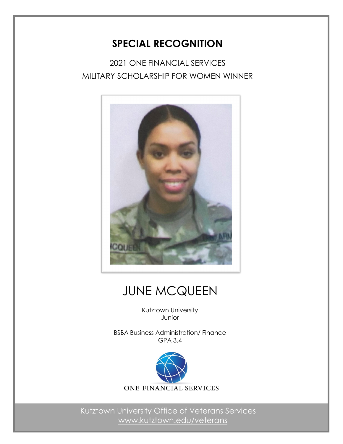## **SPECIAL RECOGNITION**

2021 ONE FINANCIAL SERVICES MILITARY SCHOLARSHIP FOR WOMEN WINNER



# JUNE MCQUEEN

Kutztown University Junior

BSBA Business Administration/ Finance GPA 3.4

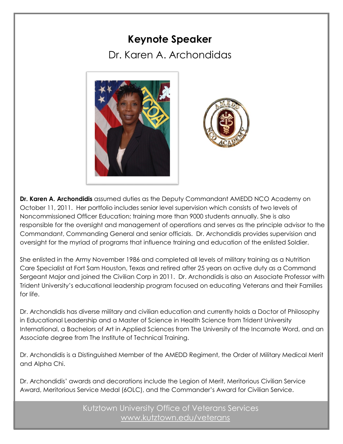## **Keynote Speaker**

Dr. Karen A. Archondidas





**Dr. Karen A. Archondidis** assumed duties as the Deputy Commandant AMEDD NCO Academy on October 11, 2011. Her portfolio includes senior level supervision which consists of two levels of Noncommissioned Officer Education; training more than 9000 students annually. She is also responsible for the oversight and management of operations and serves as the principle advisor to the Commandant, Commanding General and senior officials. Dr. Archondidis provides supervision and oversight for the myriad of programs that influence training and education of the enlisted Soldier.

She enlisted in the Army November 1986 and completed all levels of military training as a Nutrition Care Specialist at Fort Sam Houston, Texas and retired after 25 years on active duty as a Command Sergeant Major and joined the Civilian Corp in 2011. Dr. Archondidis is also an Associate Professor with Trident University's educational leadership program focused on educating Veterans and their Families for life.

Dr. Archondidis has diverse military and civilian education and currently holds a Doctor of Philosophy in Educational Leadership and a Master of Science in Health Science from Trident University International, a Bachelors of Art in Applied Sciences from The University of the Incarnate Word, and an Associate degree from The Institute of Technical Training.

Dr. Archondidis is a Distinguished Member of the AMEDD Regiment, the Order of Military Medical Merit and Alpha Chi.

Dr. Archondidis' awards and decorations include the Legion of Merit, Meritorious Civilian Service Award, Meritorious Service Medal (6OLC), and the Commander's Award for Civilian Service.